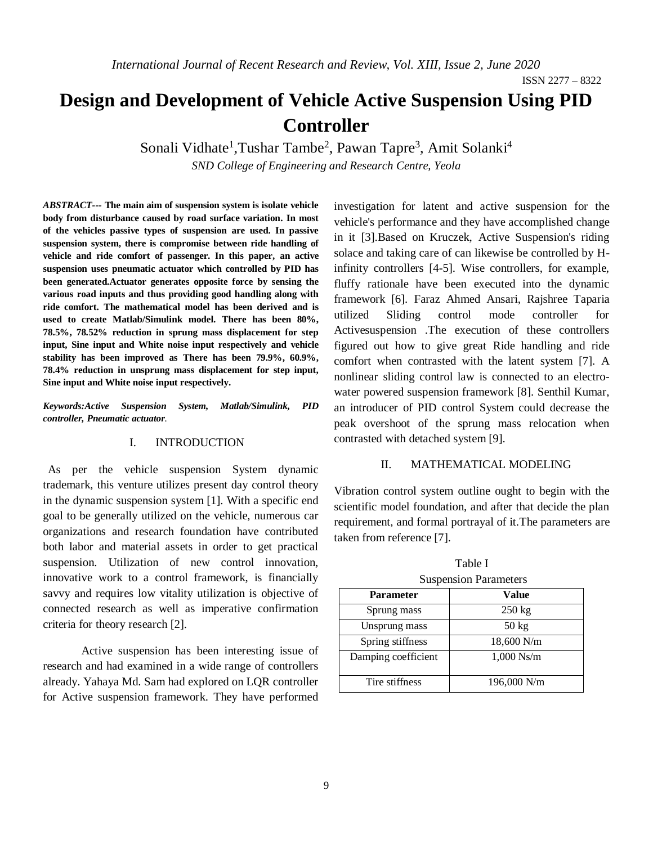# **Design and Development of Vehicle Active Suspension Using PID Controller**

Sonali Vidhate<sup>1</sup>, Tushar Tambe<sup>2</sup>, Pawan Tapre<sup>3</sup>, Amit Solanki<sup>4</sup>

*SND College of Engineering and Research Centre, Yeola*

*ABSTRACT---* **The main aim of suspension system is isolate vehicle body from disturbance caused by road surface variation. In most of the vehicles passive types of suspension are used. In passive suspension system, there is compromise between ride handling of vehicle and ride comfort of passenger. In this paper, an active suspension uses pneumatic actuator which controlled by PID has been generated.Actuator generates opposite force by sensing the various road inputs and thus providing good handling along with ride comfort. The mathematical model has been derived and is used to create Matlab/Simulink model. There has been 80%, 78.5%, 78.52% reduction in sprung mass displacement for step input, Sine input and White noise input respectively and vehicle stability has been improved as There has been 79.9%, 60.9%, 78.4% reduction in unsprung mass displacement for step input, Sine input and White noise input respectively.**

*Keywords:Active Suspension System, Matlab/Simulink, PID controller, Pneumatic actuator.*

### I. INTRODUCTION

As per the vehicle suspension System dynamic trademark, this venture utilizes present day control theory in the dynamic suspension system [1]. With a specific end goal to be generally utilized on the vehicle, numerous car organizations and research foundation have contributed both labor and material assets in order to get practical suspension. Utilization of new control innovation, innovative work to a control framework, is financially savvy and requires low vitality utilization is objective of connected research as well as imperative confirmation criteria for theory research [2].

Active suspension has been interesting issue of research and had examined in a wide range of controllers already. Yahaya Md. Sam had explored on LQR controller for Active suspension framework. They have performed investigation for latent and active suspension for the vehicle's performance and they have accomplished change in it [3].Based on Kruczek, Active Suspension's riding solace and taking care of can likewise be controlled by Hinfinity controllers [4-5]. Wise controllers, for example, fluffy rationale have been executed into the dynamic framework [6]. Faraz Ahmed Ansari, Rajshree Taparia utilized Sliding control mode controller for Activesuspension .The execution of these controllers figured out how to give great Ride handling and ride comfort when contrasted with the latent system [7]. A nonlinear sliding control law is connected to an electrowater powered suspension framework [8]. Senthil Kumar, an introducer of PID control System could decrease the peak overshoot of the sprung mass relocation when contrasted with detached system [9].

#### II. MATHEMATICAL MODELING

Vibration control system outline ought to begin with the scientific model foundation, and after that decide the plan requirement, and formal portrayal of it.The parameters are taken from reference [7].

| <b>Suspension Parameters</b> |                  |  |  |
|------------------------------|------------------|--|--|
| <b>Parameter</b>             | Value            |  |  |
| Sprung mass                  | $250 \text{ kg}$ |  |  |
| Unsprung mass                | $50 \text{ kg}$  |  |  |
| Spring stiffness             | 18,600 N/m       |  |  |
| Damping coefficient          | $1,000$ Ns/m     |  |  |
| Tire stiffness               | 196,000 N/m      |  |  |

Table I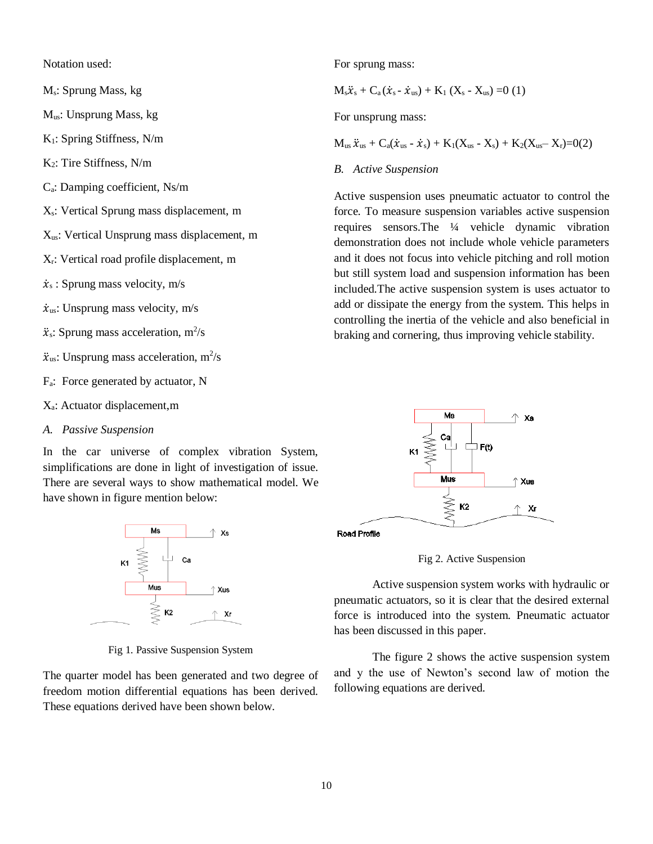Notation used:

Ms: Sprung Mass, kg

Mus: Unsprung Mass, kg

K1: Spring Stiffness, N/m

K2: Tire Stiffness, N/m

Ca: Damping coefficient, Ns/m

Xs: Vertical Sprung mass displacement, m

 $X_{us}$ : Vertical Unsprung mass displacement, m

Xr: Vertical road profile displacement, m

 $\dot{x}_s$ : Sprung mass velocity, m/s

 $\dot{x}_{us}$ : Unsprung mass velocity, m/s

 $\ddot{x}$ s: Sprung mass acceleration, m<sup>2</sup>/s

 $\ddot{x}_{us}$ : Unsprung mass acceleration, m<sup>2</sup>/s

Fa: Force generated by actuator, N

Xa: Actuator displacement,m

*A. Passive Suspension*

In the car universe of complex vibration System, simplifications are done in light of investigation of issue. There are several ways to show mathematical model. We have shown in figure mention below:



Fig 1. Passive Suspension System

The quarter model has been generated and two degree of freedom motion differential equations has been derived. These equations derived have been shown below.

For sprung mass:

 $M_s\ddot{x}_s + C_a(\dot{x}_s - \dot{x}_{us}) + K_1(X_s - X_{us}) = 0$  (1)

For unsprung mass:

 $M_{us} \ddot{x}_{us} + C_a(\dot{x}_{us} - \dot{x}_s) + K_1(X_{us} - X_s) + K_2(X_{us} - X_r) = 0(2)$ 

# *B. Active Suspension*

Active suspension uses pneumatic actuator to control the force. To measure suspension variables active suspension requires sensors.The ¼ vehicle dynamic vibration demonstration does not include whole vehicle parameters and it does not focus into vehicle pitching and roll motion but still system load and suspension information has been included.The active suspension system is uses actuator to add or dissipate the energy from the system. This helps in controlling the inertia of the vehicle and also beneficial in braking and cornering, thus improving vehicle stability.



Road Profile

Fig 2. Active Suspension

Active suspension system works with hydraulic or pneumatic actuators, so it is clear that the desired external force is introduced into the system. Pneumatic actuator has been discussed in this paper.

The figure 2 shows the active suspension system and y the use of Newton's second law of motion the following equations are derived.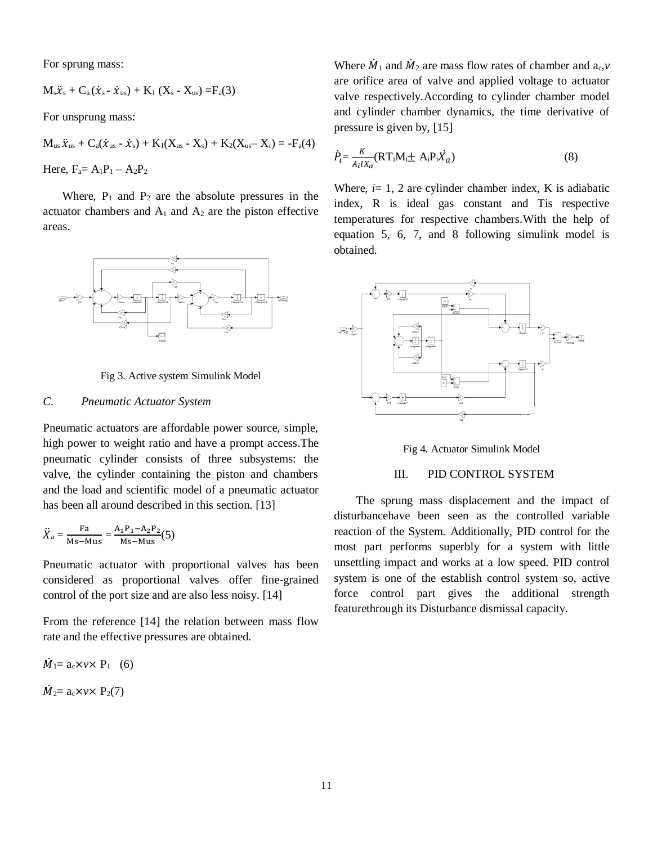For sprung mass:

$$
M_s\ddot{x}_s + C_a(\dot{x}_s - \dot{x}_{us}) + K_1(X_s - X_{us}) = F_a(3)
$$

For unsprung mass:

 $M_{us} \ddot{x}_{us} + C_a(\dot{x}_{us} - \dot{x}_s) + K_1(X_{us} - X_s) + K_2(X_{us} - X_r) = -F_a(4)$ Here,  $F_a = A_1P_1 - A_2P_2$ 

Where,  $P_1$  and  $P_2$  are the absolute pressures in the actuator chambers and  $A_1$  and  $A_2$  are the piston effective areas.



Fig 3. Active system Simulink Model

# *C. Pneumatic Actuator System*

Pneumatic actuators are affordable power source, simple, high power to weight ratio and have a prompt access.The pneumatic cylinder consists of three subsystems: the valve, the cylinder containing the piston and chambers and the load and scientific model of a pneumatic actuator has been all around described in this section. [13]

$$
\ddot{X}_a = \frac{\mathrm{Fa}}{\mathrm{Ms} - \mathrm{Mus}} = \frac{\mathrm{A_1P_1} - \mathrm{A_2P_2}}{\mathrm{Ms} - \mathrm{Mus}}(5)
$$

Pneumatic actuator with proportional valves has been considered as proportional valves offer fine-grained control of the port size and are also less noisy. [14]

From the reference [14] the relation between mass flow rate and the effective pressures are obtained.

 $\dot{M}_1 = a_c \times v \times P_1$  (6)  $\dot{M}_2$ = a<sub>c</sub>×*v*× P<sub>2</sub>(7)

Where  $\dot{M}_1$  and  $\dot{M}_2$  are mass flow rates of chamber and  $a_c$ , *v* are orifice area of valve and applied voltage to actuator valve respectively.According to cylinder chamber model and cylinder chamber dynamics, the time derivative of pressure is given by, [15]

$$
\dot{P}_i = \frac{K}{A_i l X_a} (\mathbf{RT}_i \mathbf{M}_i \pm \mathbf{A}_i \mathbf{P}_i \dot{X}_a)
$$
\n(8)

Where,  $i=1$ , 2 are cylinder chamber index, K is adiabatic index, R is ideal gas constant and Tis respective temperatures for respective chambers.With the help of equation 5, 6, 7, and 8 following simulink model is obtained.



Fig 4. Actuator Simulink Model

# III. PID CONTROL SYSTEM

The sprung mass displacement and the impact of disturbancehave been seen as the controlled variable reaction of the System. Additionally, PID control for the most part performs superbly for a system with little unsettling impact and works at a low speed. PID control system is one of the establish control system so, active force control part gives the additional strength featurethrough its Disturbance dismissal capacity.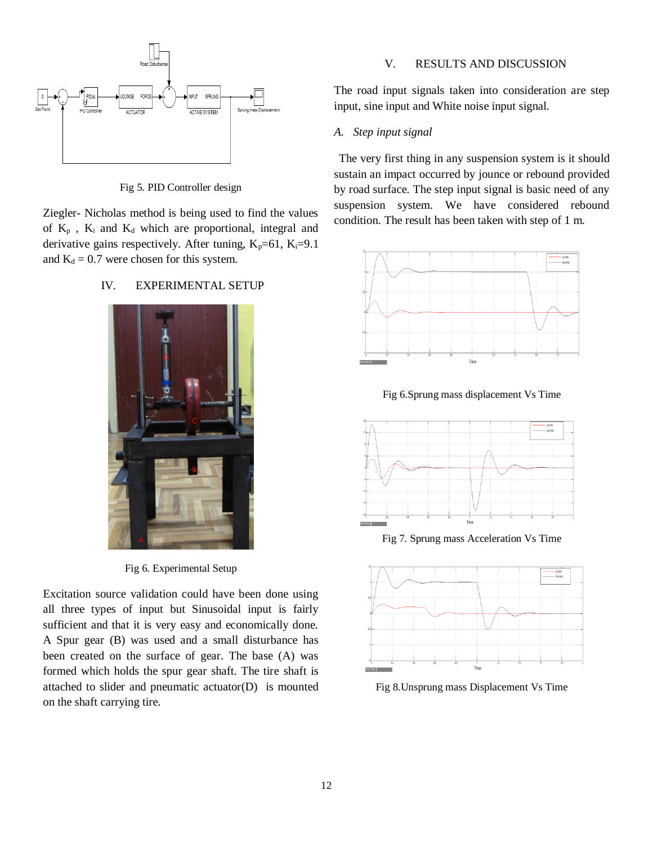

Fig 5. PID Controller design

Ziegler- Nicholas method is being used to find the values of  $K_p$ ,  $K_i$  and  $K_d$  which are proportional, integral and derivative gains respectively. After tuning,  $K_p=61$ ,  $K_i=9.1$ and  $K_d = 0.7$  were chosen for this system.

## IV. EXPERIMENTAL SETUP



Fig 6. Experimental Setup

Excitation source validation could have been done using all three types of input but Sinusoidal input is fairly sufficient and that it is very easy and economically done. A Spur gear (B) was used and a small disturbance has been created on the surface of gear. The base (A) was formed which holds the spur gear shaft. The tire shaft is attached to slider and pneumatic actuator(D) is mounted on the shaft carrying tire.

# V. RESULTS AND DISCUSSION

The road input signals taken into consideration are step input, sine input and White noise input signal.

# *A. Step input signal*

The very first thing in any suspension system is it should sustain an impact occurred by jounce or rebound provided by road surface. The step input signal is basic need of any suspension system. We have considered rebound condition. The result has been taken with step of 1 m.



Fig 6.Sprung mass displacement Vs Time



Fig 7. Sprung mass Acceleration Vs Time



Fig 8.Unsprung mass Displacement Vs Time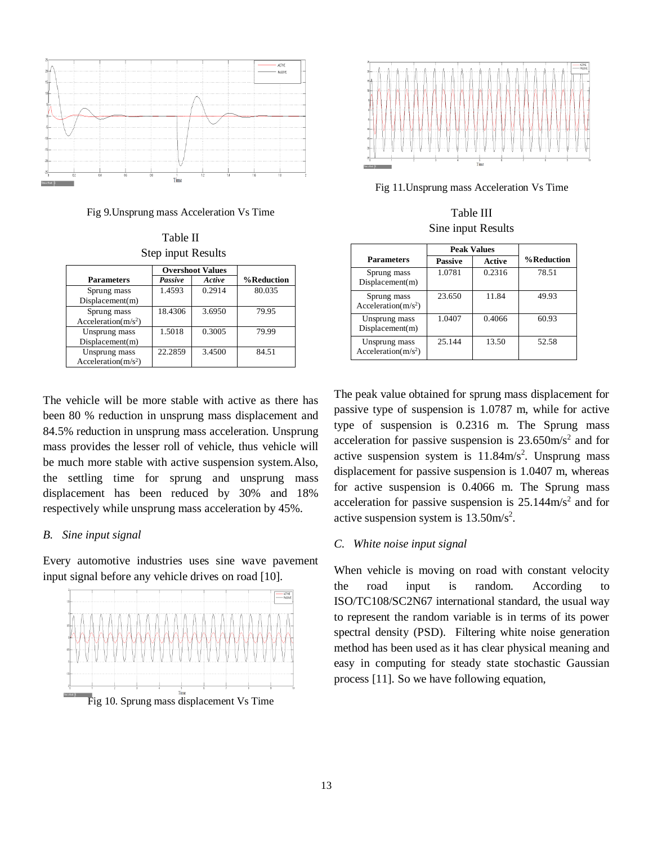

Fig 9.Unsprung mass Acceleration Vs Time

Table II Step input Results

|                                         | <b>Overshoot Values</b> |        |            |
|-----------------------------------------|-------------------------|--------|------------|
| <b>Parameters</b>                       | Passive                 | Active | %Reduction |
| Sprung mass<br>Displacement(m)          | 1.4593                  | 0.2914 | 80.035     |
| Sprung mass<br>Acceleration( $m/s2$ )   | 18.4306                 | 3.6950 | 79.95      |
| Unsprung mass<br>Displacement(m)        | 1.5018                  | 0.3005 | 79.99      |
| Unsprung mass<br>Acceleration( $m/s2$ ) | 22.2859                 | 3.4500 | 84.51      |

The vehicle will be more stable with active as there has been 80 % reduction in unsprung mass displacement and 84.5% reduction in unsprung mass acceleration. Unsprung mass provides the lesser roll of vehicle, thus vehicle will be much more stable with active suspension system.Also, the settling time for sprung and unsprung mass displacement has been reduced by 30% and 18% respectively while unsprung mass acceleration by 45%.

### *B. Sine input signal*

Every automotive industries uses sine wave pavement input signal before any vehicle drives on road [10].





Fig 11.Unsprung mass Acceleration Vs Time

Table III Sine input Results

|                                         | <b>Peak Values</b> |               |            |
|-----------------------------------------|--------------------|---------------|------------|
| <b>Parameters</b>                       | <b>Passive</b>     | <b>Active</b> | %Reduction |
| Sprung mass<br>Displacement(m)          | 1.0781             | 0.2316        | 78.51      |
| Sprung mass<br>Acceleration( $m/s2$ )   | 23.650             | 11.84         | 49.93      |
| Unsprung mass<br>Displacement(m)        | 1.0407             | 0.4066        | 60.93      |
| Unsprung mass<br>Acceleration( $m/s2$ ) | 25.144             | 13.50         | 52.58      |

The peak value obtained for sprung mass displacement for passive type of suspension is 1.0787 m, while for active type of suspension is 0.2316 m. The Sprung mass acceleration for passive suspension is  $23.650 \text{m/s}^2$  and for active suspension system is  $11.84 \text{m/s}^2$ . Unsprung mass displacement for passive suspension is 1.0407 m, whereas for active suspension is 0.4066 m. The Sprung mass acceleration for passive suspension is  $25.144 \text{m/s}^2$  and for active suspension system is  $13.50 \text{m/s}^2$ .

#### *C. White noise input signal*

When vehicle is moving on road with constant velocity the road input is random. According to ISO/TC108/SC2N67 international standard, the usual way to represent the random variable is in terms of its power spectral density (PSD). Filtering white noise generation method has been used as it has clear physical meaning and easy in computing for steady state stochastic Gaussian process [11]. So we have following equation,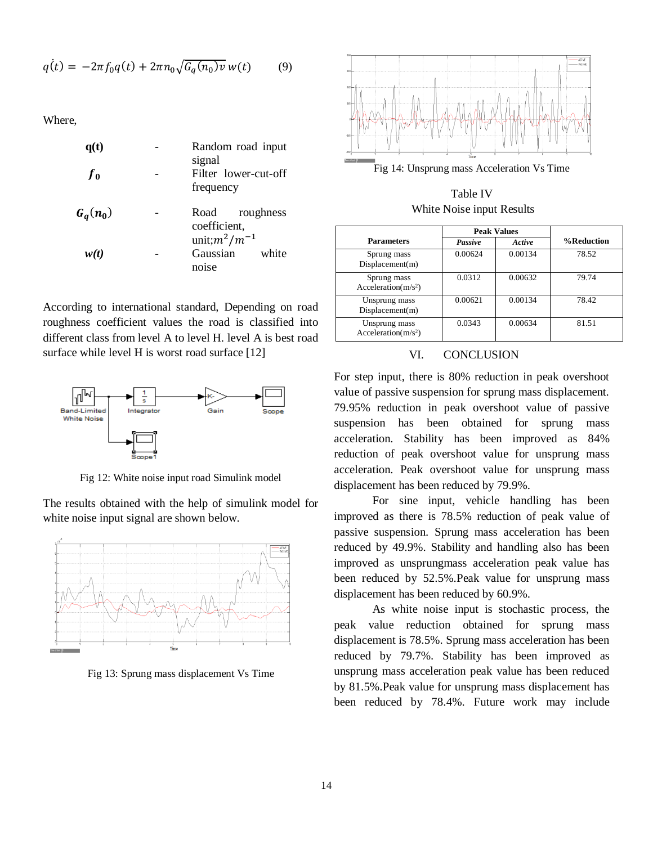$$
q(t) = -2\pi f_0 q(t) + 2\pi n_0 \sqrt{G_q(n_0)v} \, w(t) \tag{9}
$$

Where,

| q(t)           | Random road input<br>signal                             |
|----------------|---------------------------------------------------------|
| f <sub>0</sub> | Filter lower-cut-off<br>frequency                       |
| $G_q(n_0)$     | Road<br>roughness<br>coefficient,<br>unit; $m^2/m^{-1}$ |
| w(t)           | Gaussian<br>white<br>noise                              |

According to international standard, Depending on road roughness coefficient values the road is classified into different class from level A to level H. level A is best road surface while level H is worst road surface [12]



Fig 12: White noise input road Simulink model

The results obtained with the help of simulink model for white noise input signal are shown below.



Fig 13: Sprung mass displacement Vs Time



Fig 14: Unsprung mass Acceleration Vs Time

Table IV White Noise input Results

|                                         | <b>Peak Values</b> |         |            |
|-----------------------------------------|--------------------|---------|------------|
| <b>Parameters</b>                       | Passive            | Active  | %Reduction |
| Sprung mass<br>Displacement(m)          | 0.00624            | 0.00134 | 78.52      |
| Sprung mass<br>Acceleration( $m/s2$ )   | 0.0312             | 0.00632 | 79.74      |
| Unsprung mass<br>Displacement(m)        | 0.00621            | 0.00134 | 78.42      |
| Unsprung mass<br>Acceleration( $m/s2$ ) | 0.0343             | 0.00634 | 81.51      |

# VI. CONCLUSION

For step input, there is 80% reduction in peak overshoot value of passive suspension for sprung mass displacement. 79.95% reduction in peak overshoot value of passive suspension has been obtained for sprung mass acceleration. Stability has been improved as 84% reduction of peak overshoot value for unsprung mass acceleration. Peak overshoot value for unsprung mass displacement has been reduced by 79.9%.

For sine input, vehicle handling has been improved as there is 78.5% reduction of peak value of passive suspension. Sprung mass acceleration has been reduced by 49.9%. Stability and handling also has been improved as unsprungmass acceleration peak value has been reduced by 52.5%.Peak value for unsprung mass displacement has been reduced by 60.9%.

As white noise input is stochastic process, the peak value reduction obtained for sprung mass displacement is 78.5%. Sprung mass acceleration has been reduced by 79.7%. Stability has been improved as unsprung mass acceleration peak value has been reduced by 81.5%.Peak value for unsprung mass displacement has been reduced by 78.4%. Future work may include